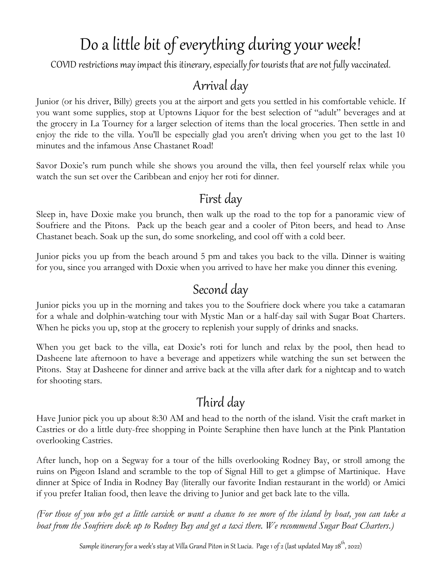# Do a little bit of everything during your week!

COVID restrictions may impact this itinerary, especially for tourists that are not fully vaccinated.

#### Arrival day

Junior (or his driver, Billy) greets you at the airport and gets you settled in his comfortable vehicle. If you want some supplies, stop at Uptowns Liquor for the best selection of "adult" beverages and at the grocery in La Tourney for a larger selection of items than the local groceries. Then settle in and enjoy the ride to the villa. You'll be especially glad you aren't driving when you get to the last 10 minutes and the infamous Anse Chastanet Road!

Savor Doxie's rum punch while she shows you around the villa, then feel yourself relax while you watch the sun set over the Caribbean and enjoy her roti for dinner.

#### First day

Sleep in, have Doxie make you brunch, then walk up the road to the top for a panoramic view of Soufriere and the Pitons. Pack up the beach gear and a cooler of Piton beers, and head to Anse Chastanet beach. Soak up the sun, do some snorkeling, and cool off with a cold beer.

Junior picks you up from the beach around 5 pm and takes you back to the villa. Dinner is waiting for you, since you arranged with Doxie when you arrived to have her make you dinner this evening.

#### Second day

Junior picks you up in the morning and takes you to the Soufriere dock where you take a catamaran for a whale and dolphin-watching tour with Mystic Man or a half-day sail with Sugar Boat Charters. When he picks you up, stop at the grocery to replenish your supply of drinks and snacks.

When you get back to the villa, eat Doxie's roti for lunch and relax by the pool, then head to Dasheene late afternoon to have a beverage and appetizers while watching the sun set between the Pitons. Stay at Dasheene for dinner and arrive back at the villa after dark for a nightcap and to watch for shooting stars.

### Third day

Have Junior pick you up about 8:30 AM and head to the north of the island. Visit the craft market in Castries or do a little duty-free shopping in Pointe Seraphine then have lunch at the Pink Plantation overlooking Castries.

After lunch, hop on a Segway for a tour of the hills overlooking Rodney Bay, or stroll among the ruins on Pigeon Island and scramble to the top of Signal Hill to get a glimpse of Martinique. Have dinner at Spice of India in Rodney Bay (literally our favorite Indian restaurant in the world) or Amici if you prefer Italian food, then leave the driving to Junior and get back late to the villa.

*(For those of you who get a little carsick or want a chance to see more of the island by boat, you can take a boat from the Soufriere dock up to Rodney Bay and get a taxi there. We recommend Sugar Boat Charters.)*